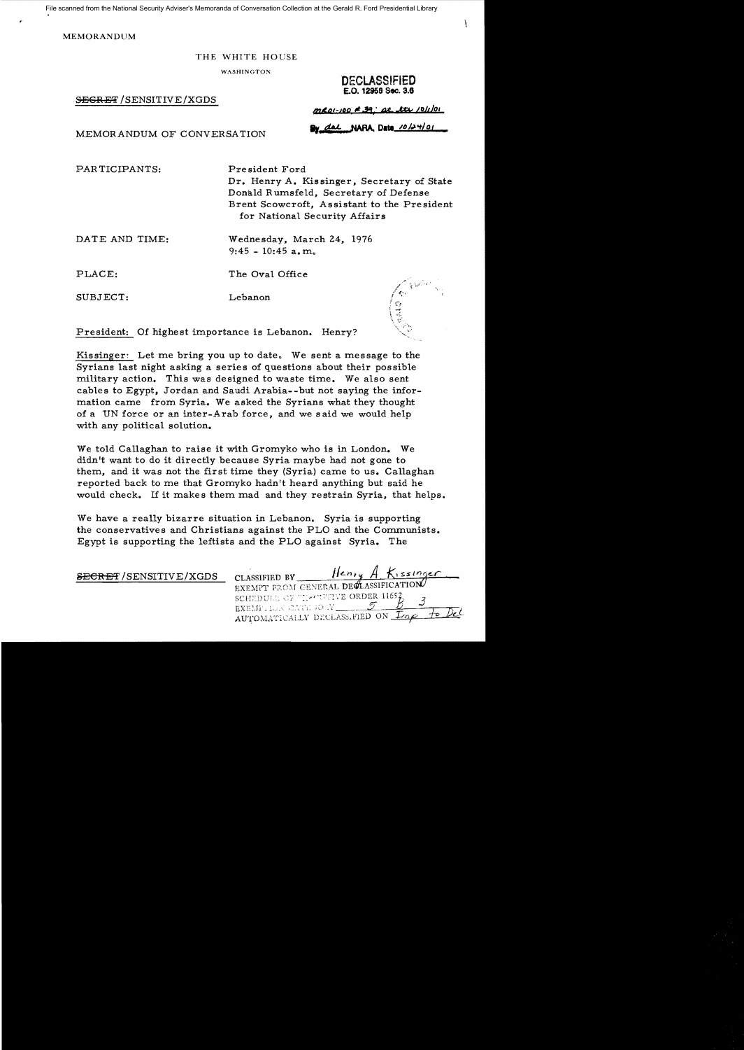File scanned from the National Security Adviser's Memoranda of Conversation Collection at the Gerald R. Ford Presidential Library

MEMORANDUM

## THE WHITE HOUSE

WASHINGTON

SEGRET/SENSITIVE/XGDS

DECLASSIFIED £.0. 12958 Sec. 3.8

.,~ **Date** *ItJ/.J.'+/O(*

*mRo1-100 € 39: at the 10/1/01* 

MEMORANDUM OF CONVERSATION

PAR TICIPANTS: President Ford

Dr. Henry A. Kissinger, Secretary of State Donald Rumsfeld, Secretary of Defense Brent Scowcroft, Assistant to the President for National Security Affairs

DATE AND TIME: Wednesday, March 24, 1976 9:45 - 10:45 a. m..

PLACE: The Oval Office

SUBJECT: Lebanon

President: Of highest importance is Lebanon. Henry?

Kissinger: Let me bring you up to date. We sent a message to the Syrians last night asking a series of questions about their possible military action. This was designed to waste time. We also sent cables to Egypt, Jordan and Saudi Arabia--but not saying the information came from Syria. We asked the Syrians what they thought of a 'UN force or an inter-Arab force, and we s aid we would help with any political solution.

We told Callaghan to raise it with Gromyko who is in London. We didn't want to do it directly because Syria maybe had not gone to them, and it was not the first time they (Syria) came to us. Callaghan reported back to me that Gromyko hadn't heard anything but said he would check. If it makes them mad and they restrain Syria, that helps.

We have a really bizarre situation in Lebanon. Syria is supporting the conservatives and Christians against the PLO and the Communists. Egypt is supporting the leftists and the PLO against Syria. The

SECRET /SENSITIVE/XGDS

Henry A. Kissinger CLASSIFIED BY EXEMPT FROM GENERAL DECLASSIFICATION SCHEDULE OF TIMOUTIVE ORDER 1165 - 5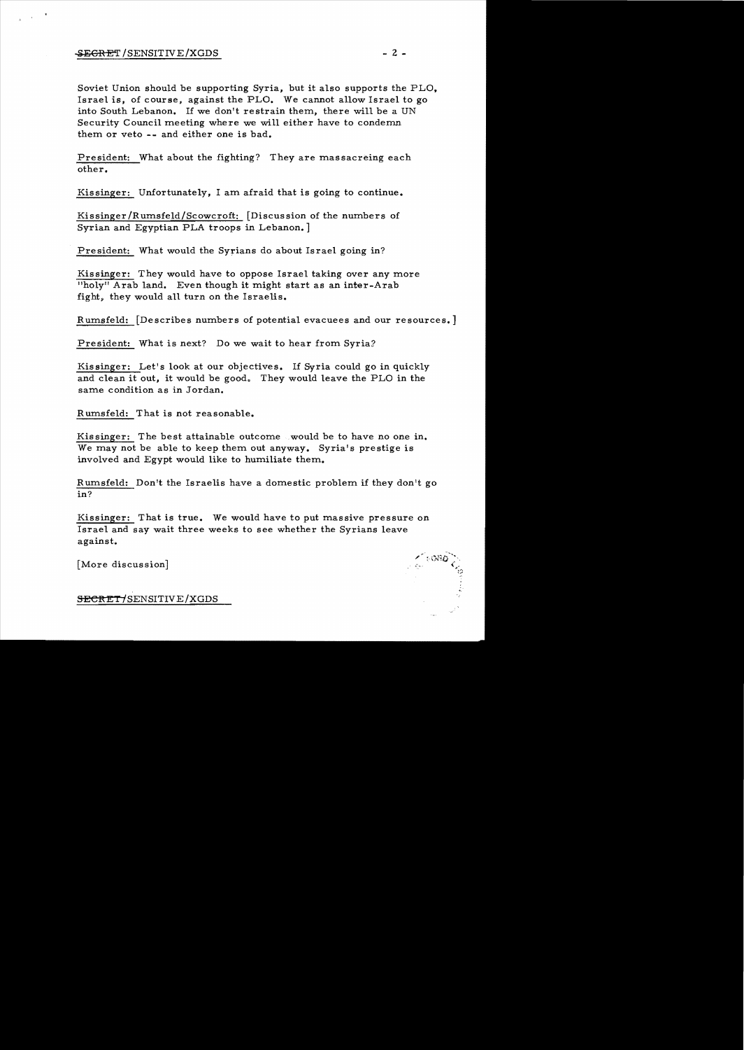## $\overline{\text{SE}}$ GRET /SENSITIVE/XGDS - 2 -

Soviet Union should be supporting Syria, but it also supports the PLO, Israel is, of course, against the PLO. We cannot allow Israel to go into South Lebanon. If we don't restrain them, there will be a UN Security Council meeting where we will either have to condemn them or veto -- and either one is bad.

President: What about the fighting? They are massacreing each other.

Kissinger: Unfortunately, I am afraid that is going to continue.

Kissinger /R umsfeld/Scowcroft: [Discussion of the numbers of Syrian and Egyptian PLA troops in Lebanon.]

President: What would the Syrians do about Israel going in?

Kissinger: They would have to oppose Israel taking over any more "holy" Arab land. Even though it might start as an inter-Arab fight, they would all turn on the Israelis.

Rumsfeld: [Describes numbers of potential evacuees and our resources.]

President: What is next? Do we wait to hear from Syria?

Kissinger: Let's look at our objectives. If Syria could go in quickly and clean it out, it would be good. They would leave the PLO in the same condition as in Jordan.

R umsfeld: That is not reasonable.

Kissinger: The best attainable outcome would be to have no one in. We may not be able to keep them out anyway. Syria's prestige is involved and Egypt would like to humiliate them.

Rumsfeld: Don't the Israelis have a domestic problem if they don't go in?

Kissinger: That is true. We would have to put massive pressure on Israel and say wait three weeks to see whether the Syrians leave against.

[More discussion]

SECRET/SENSITIVE/XGDS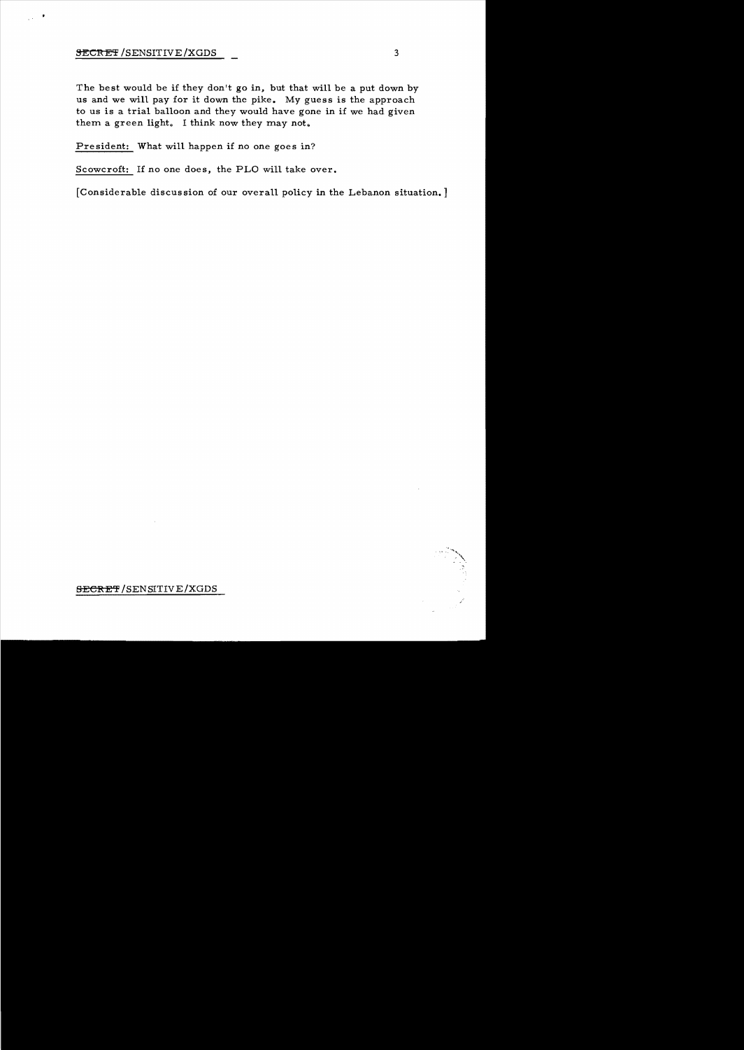## **SECRET/SENSITIVE/XGDS**

 $\sim$  .

The best would be if they don't go in, but that will be a put down by us and we will pay for it down the pike. My guess is the approach to us is a trial balloon and they would have gone in if we had given them a green light. I think now they may not.

President: What will happen if no one goes in?

Scowcroft: If no one does, the PLO will take over.

[Considerable discussion of our overall policy in the Lebanon situation.]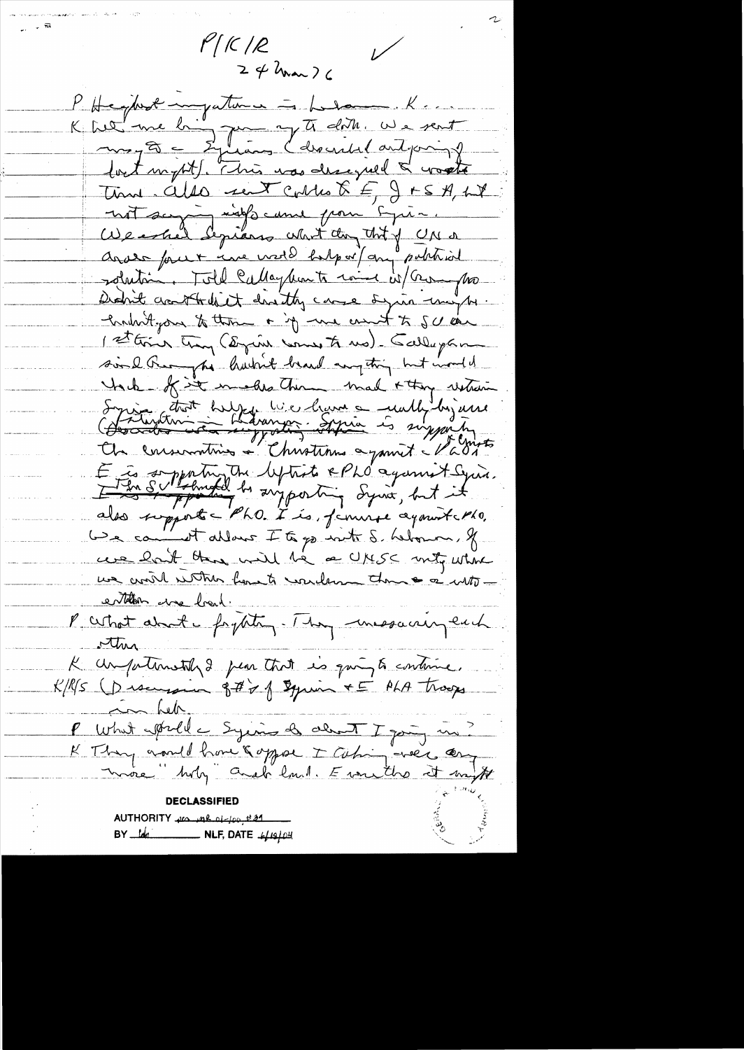$P/K/R$  $\nu$  $24$  know ) 6 P Hegher i fature = belance K. K het me bij juin 27 a donne we sent Time. Also rent collect E, J + 5 A, ht not soying informe pour Epire. Ander fourt une world help or any publicid rolation. Told callagher to wind is Car for Didn't accordibility cause of in my bi ... Product your to them + ig we and to see an 1 station try (Equin reme to no). Sallagan sind Rempto hubit head anything but would Syrian troit huy le lieu a mally bijain.<br>Charles de l'avance syria à support E à sopportunité deptiste e PLO agamit Syria. also supports PhO. I is, finiste against PhO. We can introduce I to go with S. helmon. of we hat they will be a UMSC mit where un avoit with home to conclement them a a with entitoir cree band. P cettet about frighting. They massacringeach <u>Ahr</u> K un fortunistik 2 peu that is qui to entime.<br>K/l/s (D racinain 8# of \$yrin + E PLA troops in Leb P What asside Syeins & about I going in ? AUTHORITY per ne oi-for #21  $BY$   $Ida$   $NIF$ ,  $DATE$   $4/19/104$